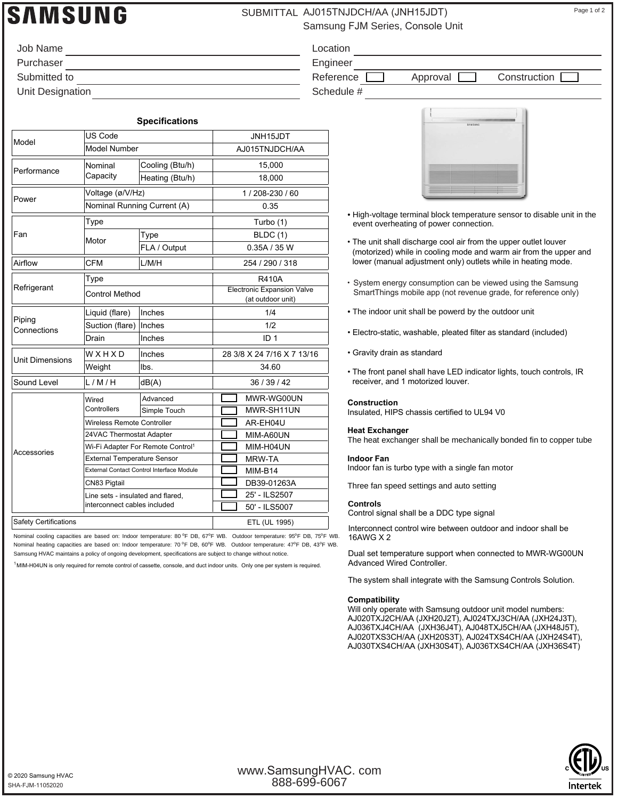# **SAMSUNG**

## SUBMITTAL AJ015TNJDCH/AA (JNH15JDT) Page 1 of 2

Samsung FJM Series, Console Unit

| Job Name         | Location   |
|------------------|------------|
| Purchaser        | Engineer   |
| Submitted to     | Reference  |
| Unit Designation | Schedule # |

Location Engineer

Reference **Approval Construction** 

|                              |                                               | <b>Specifications</b>                            |                                                        |
|------------------------------|-----------------------------------------------|--------------------------------------------------|--------------------------------------------------------|
|                              | US Code                                       |                                                  | JNH15JDT                                               |
| Model                        | <b>Model Number</b>                           |                                                  | AJ015TNJDCH/AA                                         |
| Performance                  | Nominal                                       | Cooling (Btu/h)                                  | 15,000                                                 |
|                              | Capacity                                      | Heating (Btu/h)                                  | 18,000                                                 |
| Power                        | Voltage (ø/V/Hz)                              |                                                  | 1/208-230/60                                           |
|                              |                                               | Nominal Running Current (A)                      | 0.35                                                   |
|                              | Type                                          |                                                  | Turbo (1)                                              |
| Fan                          | Motor                                         | Type                                             | <b>BLDC</b> (1)                                        |
|                              |                                               | FLA / Output                                     | 0.35A / 35W                                            |
| Airflow                      | CFM                                           | L/M/H                                            | 254 / 290 / 318                                        |
|                              | Type                                          |                                                  | <b>R410A</b>                                           |
| Refrigerant                  | <b>Control Method</b>                         |                                                  | <b>Electronic Expansion Valve</b><br>(at outdoor unit) |
|                              | Liquid (flare)                                | Inches                                           | 1/4                                                    |
| Piping<br>Connections        | Suction (flare)                               | Inches                                           | 1/2                                                    |
|                              | Drain                                         | Inches                                           | ID <sub>1</sub>                                        |
| <b>Unit Dimensions</b>       | WXHXD                                         | Inches                                           | 28 3/8 X 24 7/16 X 7 13/16                             |
|                              | Weight                                        | lbs.                                             | 34.60                                                  |
| Sound Level                  | L/M/H                                         | dB(A)                                            | 36 / 39 / 42                                           |
|                              | Wired                                         | Advanced                                         | MWR-WG00UN                                             |
|                              | Controllers                                   | Simple Touch                                     | MWR-SH11UN                                             |
|                              | Wireless Remote Controller                    |                                                  | AR-EH04U                                               |
|                              | 24VAC Thermostat Adapter                      |                                                  | MIM-A60UN                                              |
|                              | Wi-Fi Adapter For Remote Control <sup>1</sup> |                                                  | MIM-H04UN                                              |
| Accessories                  | <b>External Temperature Sensor</b>            |                                                  | MRW-TA                                                 |
|                              |                                               | <b>External Contact Control Interface Module</b> | MIM-B14                                                |
|                              | CN83 Pigtail                                  |                                                  | DB39-01263A                                            |
|                              | Line sets - insulated and flared,             |                                                  | 25' - ILS2507                                          |
|                              | interconnect cables included                  |                                                  | 50' - ILS5007                                          |
| <b>Safety Certifications</b> |                                               |                                                  | ETL (UL 1995)                                          |

Nominal cooling capacities are based on: Indoor temperature: 80 °F DB, 67°F WB. Outdoor temperature: 95°F DB, 75°F WB. Nominal heating capacities are based on: Indoor temperature: 70 °F DB, 60°F WB. Outdoor temperature: 47°F DB, 43°F WB. Samsung HVAC maintains a policy of ongoing development, specifications are subject to change without notice.

<sup>1</sup> MIM-H04UN is only required for remote control of cassette, console, and duct indoor units. Only one per system is required.

| ٠ | SAMSUNG |  |
|---|---------|--|
|   |         |  |
|   |         |  |
|   |         |  |
|   |         |  |

- High-voltage terminal block temperature sensor to disable unit in the event overheating of power connection.
- The unit shall discharge cool air from the upper outlet louver (motorized) while in cooling mode and warm air from the upper and lower (manual adjustment only) outlets while in heating mode.
- System energy consumption can be viewed using the Samsung SmartThings mobile app (not revenue grade, for reference only)
- The indoor unit shall be powerd by the outdoor unit
- Electro-static, washable, pleated filter as standard (included)
- Gravity drain as standard
- The front panel shall have LED indicator lights, touch controls, IR receiver, and 1 motorized louver.

#### **Construction**

Insulated, HIPS chassis certified to UL94 V0

#### **Heat Exchanger** The heat exchanger shall be mechanically bonded fin to copper tube

**Indoor Fan**

Indoor fan is turbo type with a single fan motor

Three fan speed settings and auto setting

### **Controls**

Control signal shall be a DDC type signal

Interconnect control wire between outdoor and indoor shall be 16AWG X 2

Dual set temperature support when connected to MWR-WG00UN

The system shall integrate with the Samsung Controls Solution.

#### **Compatibility**

Will only operate with Samsung outdoor unit model numbers: AJ020TXJ2CH/AA (JXH20J2T), AJ024TXJ3CH/AA (JXH24J3T), AJ036TXJ4CH/AA (JXH36J4T), AJ048TXJ5CH/AA (JXH48J5T), AJ020TXS3CH/AA (JXH20S3T), AJ024TXS4CH/AA (JXH24S4T), AJ030TXS4CH/AA (JXH30S4T), AJ036TXS4CH/AA (JXH36S4T)